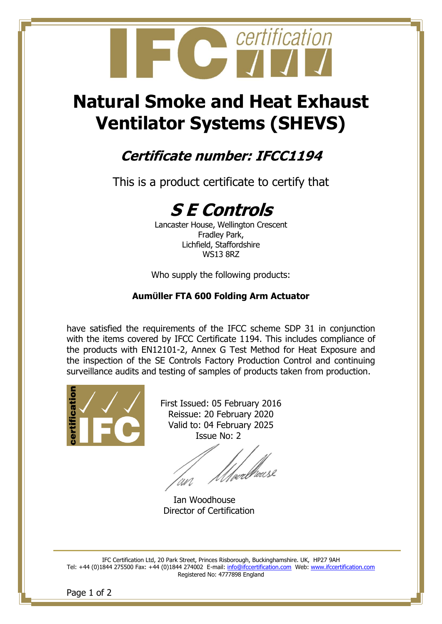

# **Natural Smoke and Heat Exhaust Ventilator Systems (SHEVS)**

## **Certificate number: IFCC1194**

This is a product certificate to certify that

## **S E Controls**

Lancaster House, Wellington Crescent Fradley Park, Lichfield, Staffordshire WS13 8RZ

Who supply the following products:

#### **AumÜller FTA 600 Folding Arm Actuator**

have satisfied the requirements of the IFCC scheme SDP 31 in conjunction with the items covered by IFCC Certificate 1194. This includes compliance of the products with EN12101-2, Annex G Test Method for Heat Exposure and the inspection of the SE Controls Factory Production Control and continuing surveillance audits and testing of samples of products taken from production.



First Issued: 05 February 2016 Reissue: 20 February 2020 Valid to: 04 February 2025 Issue No: 2

/<sub>wal</sub>lause UN.

Ian Woodhouse Director of Certification

IFC Certification Ltd, 20 Park Street, Princes Risborough, Buckinghamshire. UK, HP27 9AH Tel: +44 (0)1844 275500 Fax: +44 (0)1844 274002 E-mail: [info@ifccertification.com](mailto:info@ifccertification.com) Web: [www.ifccertification.com](http://www.ifccertification.com/) Registered No: 4777898 England

Page 1 of 2